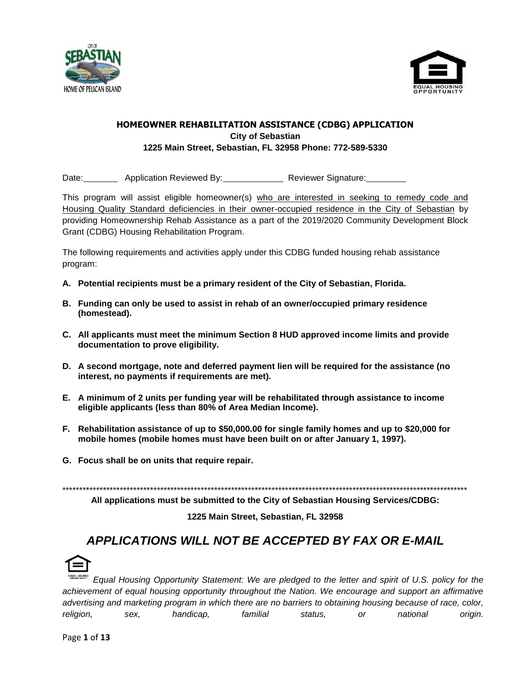



#### **HOMEOWNER REHABILITATION ASSISTANCE (CDBG) APPLICATION City of Sebastian 1225 Main Street, Sebastian, FL 32958 Phone: 772-589-5330**

Date: Application Reviewed By: Reviewer Signature:

This program will assist eligible homeowner(s) who are interested in seeking to remedy code and Housing Quality Standard deficiencies in their owner-occupied residence in the City of Sebastian by providing Homeownership Rehab Assistance as a part of the 2019/2020 Community Development Block Grant (CDBG) Housing Rehabilitation Program.

The following requirements and activities apply under this CDBG funded housing rehab assistance program:

- **A. Potential recipients must be a primary resident of the City of Sebastian, Florida.**
- **B. Funding can only be used to assist in rehab of an owner/occupied primary residence (homestead).**
- **C. All applicants must meet the minimum Section 8 HUD approved income limits and provide documentation to prove eligibility.**
- **D. A second mortgage, note and deferred payment lien will be required for the assistance (no interest, no payments if requirements are met).**
- **E. A minimum of 2 units per funding year will be rehabilitated through assistance to income eligible applicants (less than 80% of Area Median Income).**
- **F. Rehabilitation assistance of up to \$50,000.00 for single family homes and up to \$20,000 for mobile homes (mobile homes must have been built on or after January 1, 1997).**
- **G. Focus shall be on units that require repair.**

\*\*\*\*\*\*\*\*\*\*\*\*\*\*\*\*\*\*\*\*\*\*\*\*\*\*\*\*\*\*\*\*\*\*\*\*\*\*\*\*\*\*\*\*\*\*\*\*\*\*\*\*\*\*\*\*\*\*\*\*\*\*\*\*\*\*\*\*\*\*\*\*\*\*\*\*\*\*\*\*\*\*\*\*\*\*\*\*\*\*\*\*\*\*\*\*\*\*\*\*\*\*\*\*\*\*\*\*\*\*\*\*\*\*\*\*\*\*\*\*

**All applications must be submitted to the City of Sebastian Housing Services/CDBG:**

**1225 Main Street, Sebastian, FL 32958**

# *APPLICATIONS WILL NOT BE ACCEPTED BY FAX OR E-MAIL*



*Equal Housing Opportunity Statement: We are pledged to the letter and spirit of U.S. policy for the achievement of equal housing opportunity throughout the Nation. We encourage and support an affirmative advertising and marketing program in which there are no barriers to obtaining housing because of race, color, religion, sex, handicap, familial status, or national origin.*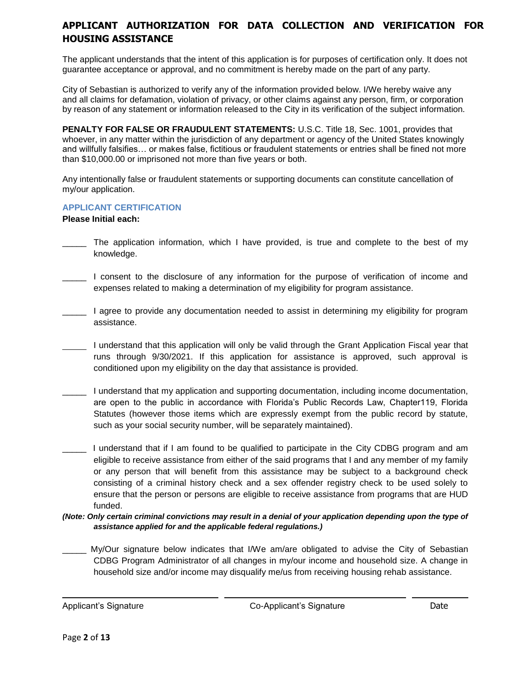## **APPLICANT AUTHORIZATION FOR DATA COLLECTION AND VERIFICATION FOR HOUSING ASSISTANCE**

The applicant understands that the intent of this application is for purposes of certification only. It does not guarantee acceptance or approval, and no commitment is hereby made on the part of any party.

City of Sebastian is authorized to verify any of the information provided below. I/We hereby waive any and all claims for defamation, violation of privacy, or other claims against any person, firm, or corporation by reason of any statement or information released to the City in its verification of the subject information.

**PENALTY FOR FALSE OR FRAUDULENT STATEMENTS:** U.S.C. Title 18, Sec. 1001, provides that whoever, in any matter within the jurisdiction of any department or agency of the United States knowingly and willfully falsifies… or makes false, fictitious or fraudulent statements or entries shall be fined not more than \$10,000.00 or imprisoned not more than five years or both.

Any intentionally false or fraudulent statements or supporting documents can constitute cancellation of my/our application.

#### **APPLICANT CERTIFICATION**

#### **Please Initial each:**

- The application information, which I have provided, is true and complete to the best of my knowledge.
- \_\_\_\_\_ I consent to the disclosure of any information for the purpose of verification of income and expenses related to making a determination of my eligibility for program assistance.
- I agree to provide any documentation needed to assist in determining my eligibility for program assistance.
- I understand that this application will only be valid through the Grant Application Fiscal year that runs through 9/30/2021. If this application for assistance is approved, such approval is conditioned upon my eligibility on the day that assistance is provided.
- \_\_\_\_\_ I understand that my application and supporting documentation, including income documentation, are open to the public in accordance with Florida's Public Records Law, Chapter119, Florida Statutes (however those items which are expressly exempt from the public record by statute, such as your social security number, will be separately maintained).
- I understand that if I am found to be qualified to participate in the City CDBG program and am eligible to receive assistance from either of the said programs that I and any member of my family or any person that will benefit from this assistance may be subject to a background check consisting of a criminal history check and a sex offender registry check to be used solely to ensure that the person or persons are eligible to receive assistance from programs that are HUD funded.
- *(Note: Only certain criminal convictions may result in a denial of your application depending upon the type of assistance applied for and the applicable federal regulations.)*
- My/Our signature below indicates that I/We am/are obligated to advise the City of Sebastian CDBG Program Administrator of all changes in my/our income and household size. A change in household size and/or income may disqualify me/us from receiving housing rehab assistance.

i<br>L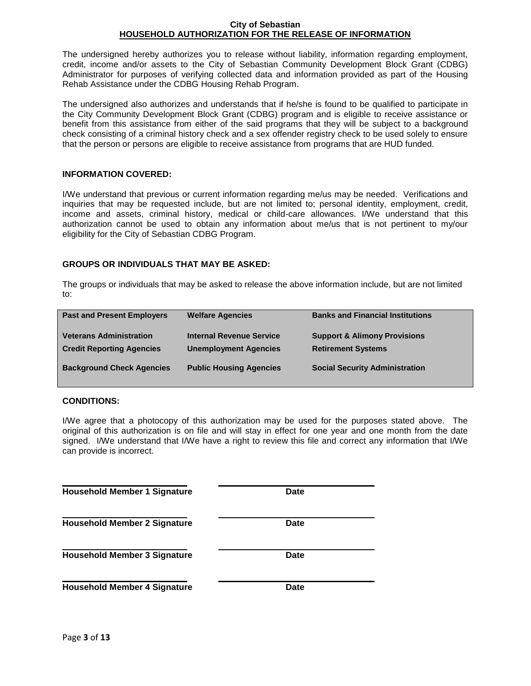#### **City of Sebastian HOUSEHOLD AUTHORIZATION FOR THE RELEASE OF INFORMATION**

The undersigned hereby authorizes you to release without liability, information regarding employment, credit, income and/or assets to the City of Sebastian Community Development Block Grant (CDBG) Administrator for purposes of verifying collected data and information provided as part of the Housing Rehab Assistance under the CDBG Housing Rehab Program.

The undersigned also authorizes and understands that if he/she is found to be qualified to participate in the City Community Development Block Grant (CDBG) program and is eligible to receive assistance or benefit from this assistance from either of the said programs that they will be subject to a background check consisting of a criminal history check and a sex offender registry check to be used solely to ensure that the person or persons are eligible to receive assistance from programs that are HUD funded.

#### **INFORMATION COVERED:**

I/We understand that previous or current information regarding me/us may be needed. Verifications and inquiries that may be requested include, but are not limited to; personal identity, employment, credit, income and assets, criminal history, medical or child-care allowances. I/We understand that this authorization cannot be used to obtain any information about me/us that is not pertinent to my/our eligibility for the City of Sebastian CDBG Program.

#### **GROUPS OR INDIVIDUALS THAT MAY BE ASKED:**

The groups or individuals that may be asked to release the above information include, but are not limited to:

| <b>Past and Present Employers</b>                                  | <b>Welfare Agencies</b>                                  | <b>Banks and Financial Institutions</b>                              |
|--------------------------------------------------------------------|----------------------------------------------------------|----------------------------------------------------------------------|
| <b>Veterans Administration</b><br><b>Credit Reporting Agencies</b> | Internal Revenue Service<br><b>Unemployment Agencies</b> | <b>Support &amp; Alimony Provisions</b><br><b>Retirement Systems</b> |
| <b>Background Check Agencies</b>                                   | <b>Public Housing Agencies</b>                           | <b>Social Security Administration</b>                                |

#### **CONDITIONS:**

I/We agree that a photocopy of this authorization may be used for the purposes stated above. The original of this authorization is on file and will stay in effect for one year and one month from the date signed. I/We understand that I/We have a right to review this file and correct any information that I/We can provide is incorrect.

| <b>Household Member 1 Signature</b> | Date        |
|-------------------------------------|-------------|
| <b>Household Member 2 Signature</b> | <b>Date</b> |
| <b>Household Member 3 Signature</b> | <b>Date</b> |
| <b>Household Member 4 Signature</b> | <b>Date</b> |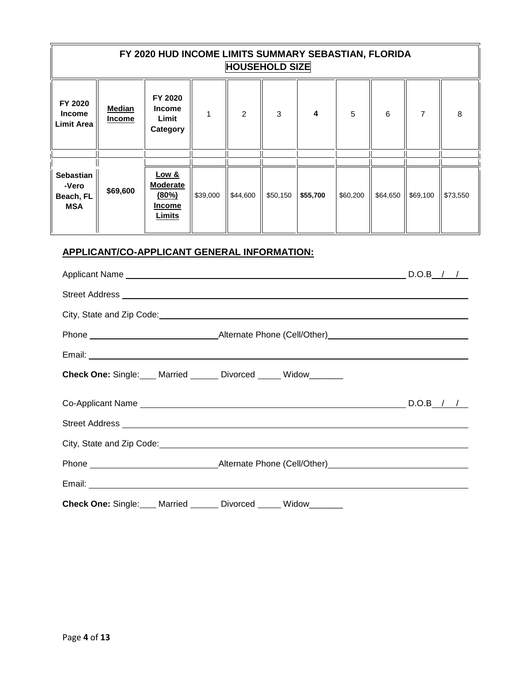| FY 2020 HUD INCOME LIMITS SUMMARY SEBASTIAN, FLORIDA<br><b>HOUSEHOLD SIZE</b> |                                |                                                                                                                |              |          |              |          |          |          |                |          |
|-------------------------------------------------------------------------------|--------------------------------|----------------------------------------------------------------------------------------------------------------|--------------|----------|--------------|----------|----------|----------|----------------|----------|
| FY 2020<br><b>Income</b><br>Limit Area                                        | <b>Median</b><br><b>Income</b> | FY 2020<br><b>Income</b><br>Limit<br>Category                                                                  | $\mathbf{1}$ | 2        | $\mathbf{3}$ | 4        | 5        | 6        | $\overline{7}$ | 8        |
|                                                                               |                                |                                                                                                                |              |          |              |          |          |          |                |          |
| <b>Sebastian</b><br>-Vero<br>Beach, FL<br><b>MSA</b>                          | \$69,600                       | <b>Low &amp;</b><br><b>Moderate</b><br>(80%)<br><b>Income</b><br>Limits                                        | \$39,000     | \$44,600 | \$50,150     | \$55,700 | \$60,200 | \$64,650 | \$69,100       | \$73,550 |
|                                                                               |                                | Check One: Single: Married Divorced Widow                                                                      |              |          |              |          |          |          | $D.O.B$ / /    |          |
| <b>Street Address</b>                                                         |                                |                                                                                                                |              |          |              |          |          |          |                |          |
|                                                                               |                                | City, State and Zip Code: example and all the state of the state of the state of the state of the state of the |              |          |              |          |          |          |                |          |
|                                                                               |                                |                                                                                                                |              |          |              |          |          |          |                |          |
|                                                                               |                                |                                                                                                                |              |          |              |          |          |          |                |          |
|                                                                               |                                | Check One: Single: Married ______ Divorced _____ Widow_______                                                  |              |          |              |          |          |          |                |          |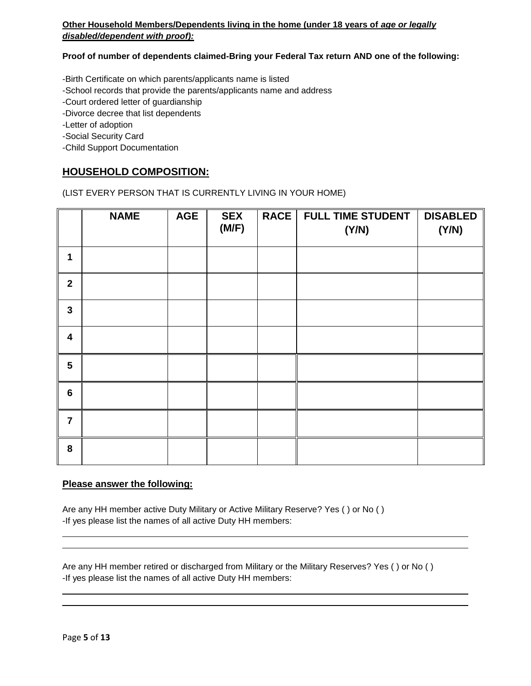## **Other Household Members/Dependents living in the home (under 18 years of** *age or legally disabled/dependent with proof):*

**Proof of number of dependents claimed-Bring your Federal Tax return AND one of the following:**

-Birth Certificate on which parents/applicants name is listed

-School records that provide the parents/applicants name and address

-Court ordered letter of guardianship

-Divorce decree that list dependents

-Letter of adoption

-Social Security Card

-Child Support Documentation

## **HOUSEHOLD COMPOSITION:**

(LIST EVERY PERSON THAT IS CURRENTLY LIVING IN YOUR HOME)

|                         | <b>NAME</b> | <b>AGE</b> | <b>SEX</b><br>(M/F) | <b>RACE</b> | <b>FULL TIME STUDENT</b><br>(Y/N) | <b>DISABLED</b><br>(Y/N) |
|-------------------------|-------------|------------|---------------------|-------------|-----------------------------------|--------------------------|
| 1                       |             |            |                     |             |                                   |                          |
| $\overline{\mathbf{2}}$ |             |            |                     |             |                                   |                          |
| $\mathbf{3}$            |             |            |                     |             |                                   |                          |
| $\overline{\mathbf{4}}$ |             |            |                     |             |                                   |                          |
| 5                       |             |            |                     |             |                                   |                          |
| $6\phantom{1}$          |             |            |                     |             |                                   |                          |
| $\overline{7}$          |             |            |                     |             |                                   |                          |
| 8                       |             |            |                     |             |                                   |                          |

#### **Please answer the following:**

Are any HH member active Duty Military or Active Military Reserve? Yes ( ) or No ( ) -If yes please list the names of all active Duty HH members:

Are any HH member retired or discharged from Military or the Military Reserves? Yes ( ) or No ( ) -If yes please list the names of all active Duty HH members: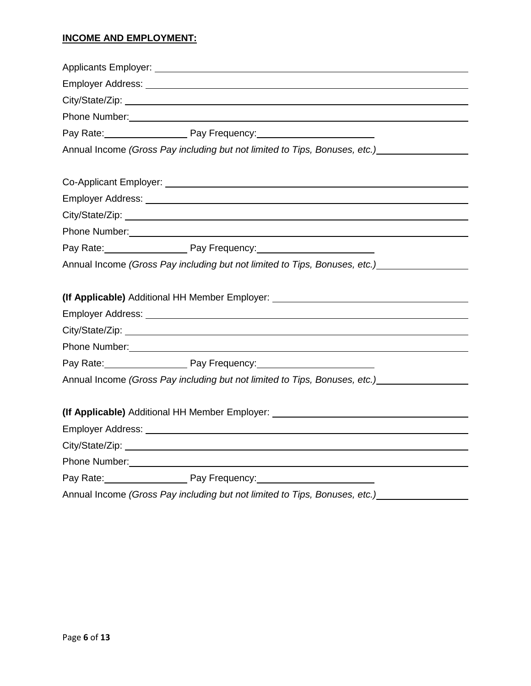## **INCOME AND EMPLOYMENT:**

| Phone Number: 2008 Communication of the Number of The Number of The Number of The Number of The Number of The Number of The Number of The Number of The Number of The Number of The Number of The Number of The Number of The                                             |  |
|---------------------------------------------------------------------------------------------------------------------------------------------------------------------------------------------------------------------------------------------------------------------------|--|
| Pay Rate: Pay Frequency: Pay Rules Nate:                                                                                                                                                                                                                                  |  |
| Annual Income (Gross Pay including but not limited to Tips, Bonuses, etc.)                                                                                                                                                                                                |  |
|                                                                                                                                                                                                                                                                           |  |
|                                                                                                                                                                                                                                                                           |  |
|                                                                                                                                                                                                                                                                           |  |
|                                                                                                                                                                                                                                                                           |  |
| Phone Number: National Accounts of the Contract of the Contract of the Contract of the Contract of the Contract of the Contract of the Contract of the Contract of the Contract of the Contract of the Contract of the Contrac                                            |  |
| Pay Rate: Pay Frequency: Pay Frequency:                                                                                                                                                                                                                                   |  |
| Annual Income (Gross Pay including but not limited to Tips, Bonuses, etc.) Channel                                                                                                                                                                                        |  |
|                                                                                                                                                                                                                                                                           |  |
| (If Applicable) Additional HH Member Employer: _________________________________                                                                                                                                                                                          |  |
|                                                                                                                                                                                                                                                                           |  |
| Employer Address: University of the Contract of the Contract of the Contract of the Contract of the Contract of the Contract of the Contract of the Contract of the Contract of the Contract of the Contract of the Contract o                                            |  |
|                                                                                                                                                                                                                                                                           |  |
|                                                                                                                                                                                                                                                                           |  |
| Phone Number: National Accounts and Accounts and Accounts and Accounts and Accounts and Accounts and Accounts and Accounts and Accounts and Accounts and Accounts and Accounts and Accounts and Accounts and Accounts and Acco<br>Pay Rate: Pay Frequency: Pay Frequency: |  |
| Annual Income (Gross Pay including but not limited to Tips, Bonuses, etc.)                                                                                                                                                                                                |  |
|                                                                                                                                                                                                                                                                           |  |
| (If Applicable) Additional HH Member Employer: _________________________________                                                                                                                                                                                          |  |
|                                                                                                                                                                                                                                                                           |  |
|                                                                                                                                                                                                                                                                           |  |
|                                                                                                                                                                                                                                                                           |  |
| Phone Number: 2008 2009 2010 2020 2021 2022 2023 2024 2022 2023 2024 2022 2023 2024 2022 2023 2024 2022 2023 20<br>Pay Rate: Pay Frequency: Pay Frequency:                                                                                                                |  |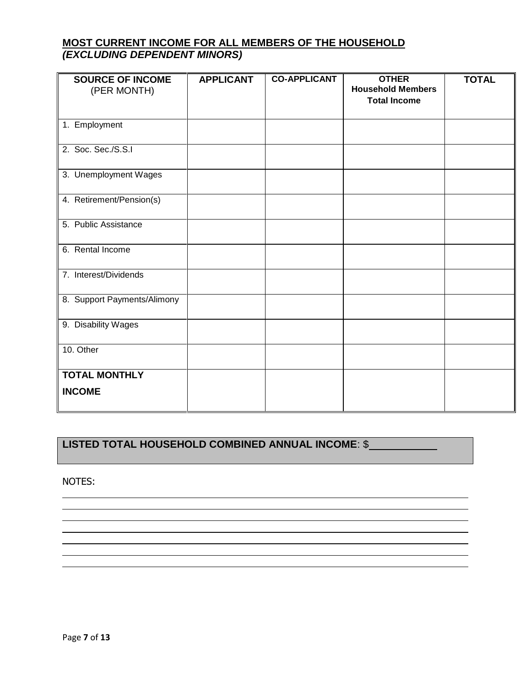## **MOST CURRENT INCOME FOR ALL MEMBERS OF THE HOUSEHOLD**  *(EXCLUDING DEPENDENT MINORS)*

| <b>SOURCE OF INCOME</b><br>(PER MONTH) | <b>APPLICANT</b> | <b>CO-APPLICANT</b> | <b>OTHER</b><br><b>Household Members</b><br><b>Total Income</b> | <b>TOTAL</b> |
|----------------------------------------|------------------|---------------------|-----------------------------------------------------------------|--------------|
| 1. Employment                          |                  |                     |                                                                 |              |
| 2. Soc. Sec./S.S.I                     |                  |                     |                                                                 |              |
| 3. Unemployment Wages                  |                  |                     |                                                                 |              |
| 4. Retirement/Pension(s)               |                  |                     |                                                                 |              |
| 5. Public Assistance                   |                  |                     |                                                                 |              |
| 6. Rental Income                       |                  |                     |                                                                 |              |
| 7. Interest/Dividends                  |                  |                     |                                                                 |              |
| 8. Support Payments/Alimony            |                  |                     |                                                                 |              |
| 9. Disability Wages                    |                  |                     |                                                                 |              |
| 10. Other                              |                  |                     |                                                                 |              |
| <b>TOTAL MONTHLY</b><br><b>INCOME</b>  |                  |                     |                                                                 |              |

## **LISTED TOTAL HOUSEHOLD COMBINED ANNUAL INCOME**: \$

NOTES: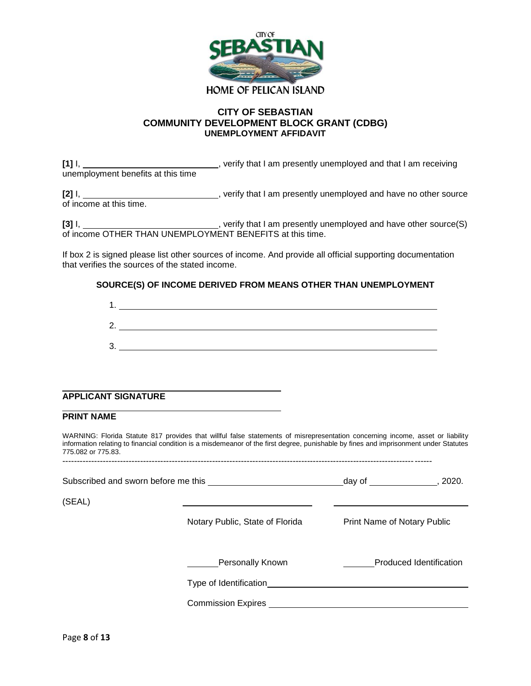

#### **CITY OF SEBASTIAN COMMUNITY DEVELOPMENT BLOCK GRANT (CDBG) UNEMPLOYMENT AFFIDAVIT**

**[1]** I, , verify that I am presently unemployed and that I am receiving unemployment benefits at this time

**[2]** I,  $\qquad \qquad \qquad \qquad \qquad \qquad \qquad$ , verify that I am presently unemployed and have no other source of income at this time.

[3] I, \_\_\_\_\_\_\_\_\_\_\_\_\_\_\_\_\_\_\_\_\_\_\_\_\_\_\_\_\_, verify that I am presently unemployed and have other source(S) of income OTHER THAN UNEMPLOYMENT BENEFITS at this time.

If box 2 is signed please list other sources of income. And provide all official supporting documentation that verifies the sources of the stated income.

#### **SOURCE(S) OF INCOME DERIVED FROM MEANS OTHER THAN UNEMPLOYMENT**

| ŋ<br><u>.</u> |  |
|---------------|--|
| າ<br>ັ        |  |

#### **APPLICANT SIGNATURE**

#### **PRINT NAME**

WARNING: Florida Statute 817 provides that willful false statements of misrepresentation concerning income, asset or liability information relating to financial condition is a misdemeanor of the first degree, punishable by fines and imprisonment under Statutes 775.082 or 775.83.

--------------------------------------------------------------------------------------------------------------------------------

|        | Subscribed and sworn before me this | day of $\sqrt{a}$<br>2020.     |  |  |
|--------|-------------------------------------|--------------------------------|--|--|
| (SEAL) |                                     |                                |  |  |
|        | Notary Public, State of Florida     | Print Name of Notary Public    |  |  |
|        | Personally Known                    | <b>Produced Identification</b> |  |  |
|        | Type of Identification              |                                |  |  |
|        | Commission Expires                  |                                |  |  |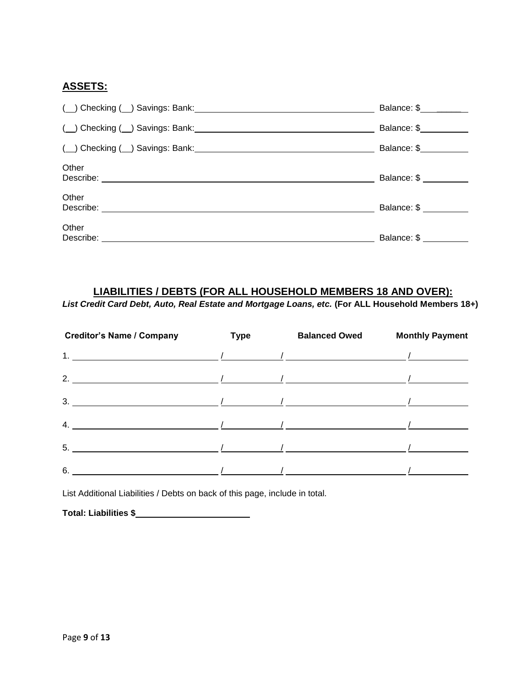## **ASSETS:**

|                                                                    | Balance: \$ _____      |
|--------------------------------------------------------------------|------------------------|
|                                                                    | Balance: \$            |
| ( ) Checking ( ) Savings: Bank: Manual Checking ( ) Savings: Bank: | Balance: \$            |
| Other                                                              | Balance: \$ __________ |
| Other<br>Describe:                                                 | Balance: \$            |
| Other<br>Describe:                                                 | Balance: \$            |

## **LIABILITIES / DEBTS (FOR ALL HOUSEHOLD MEMBERS 18 AND OVER):**

*List Credit Card Debt, Auto, Real Estate and Mortgage Loans, etc.* **(For ALL Household Members 18+)**

| <b>Creditor's Name / Company</b>                                                                                                                                                                                                                                    | Type | <b>Balanced Owed</b> | <b>Monthly Payment</b> |
|---------------------------------------------------------------------------------------------------------------------------------------------------------------------------------------------------------------------------------------------------------------------|------|----------------------|------------------------|
| 1. $\frac{1}{\sqrt{2}}$ $\frac{1}{\sqrt{2}}$ $\frac{1}{\sqrt{2}}$ $\frac{1}{\sqrt{2}}$ $\frac{1}{\sqrt{2}}$ $\frac{1}{\sqrt{2}}$ $\frac{1}{\sqrt{2}}$ $\frac{1}{\sqrt{2}}$                                                                                          |      |                      |                        |
|                                                                                                                                                                                                                                                                     |      |                      | $\sqrt{2}$             |
|                                                                                                                                                                                                                                                                     |      |                      |                        |
| 4. $\frac{1}{\sqrt{2}}$                                                                                                                                                                                                                                             |      |                      |                        |
| 5.                                                                                                                                                                                                                                                                  |      |                      |                        |
| $\sim$ 0.000 $\sim$ 0.000 $\sim$ 0.000 $\sim$ 0.000 $\sim$ 0.000 $\sim$ 0.000 $\sim$ 0.000 $\sim$ 0.000 $\sim$ 0.000 $\sim$ 0.000 $\sim$ 0.000 $\sim$ 0.000 $\sim$ 0.000 $\sim$ 0.000 $\sim$ 0.000 $\sim$ 0.000 $\sim$ 0.000 $\sim$ 0.000 $\sim$ 0.000 $\sim$ 0.000 |      |                      |                        |

List Additional Liabilities / Debts on back of this page, include in total.

**Total: Liabilities \$**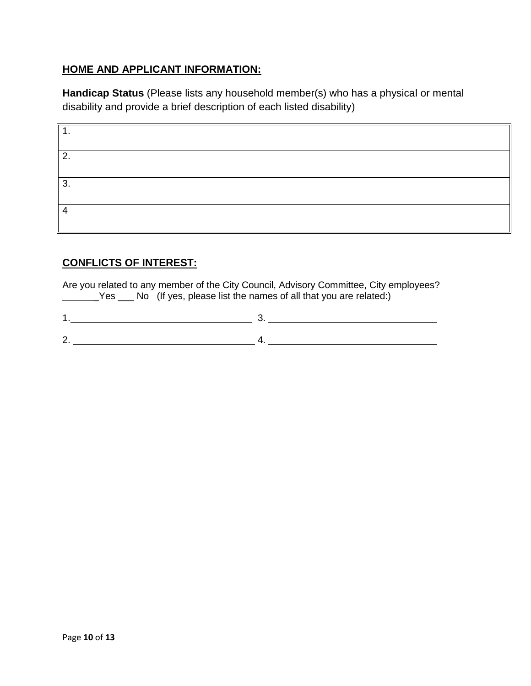## **HOME AND APPLICANT INFORMATION:**

**Handicap Status** (Please lists any household member(s) who has a physical or mental disability and provide a brief description of each listed disability)

| . .            |  |
|----------------|--|
| ົ<br><u>z.</u> |  |
| 3.             |  |
|                |  |

## **CONFLICTS OF INTEREST:**

Are you related to any member of the City Council, Advisory Committee, City employees? Yes \_\_\_ No (If yes, please list the names of all that you are related:)

1. 3. 2. 4.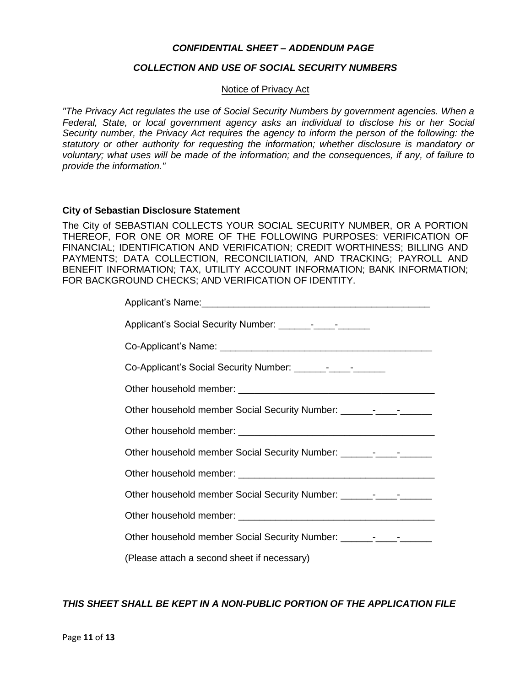#### *CONFIDENTIAL SHEET – ADDENDUM PAGE*

#### *COLLECTION AND USE OF SOCIAL SECURITY NUMBERS*

#### Notice of Privacy Act

*"The Privacy Act regulates the use of Social Security Numbers by government agencies. When a Federal, State, or local government agency asks an individual to disclose his or her Social Security number, the Privacy Act requires the agency to inform the person of the following: the statutory or other authority for requesting the information; whether disclosure is mandatory or voluntary; what uses will be made of the information; and the consequences, if any, of failure to provide the information."*

#### **City of Sebastian Disclosure Statement**

The City of SEBASTIAN COLLECTS YOUR SOCIAL SECURITY NUMBER, OR A PORTION THEREOF, FOR ONE OR MORE OF THE FOLLOWING PURPOSES: VERIFICATION OF FINANCIAL; IDENTIFICATION AND VERIFICATION; CREDIT WORTHINESS; BILLING AND PAYMENTS; DATA COLLECTION, RECONCILIATION, AND TRACKING; PAYROLL AND BENEFIT INFORMATION; TAX, UTILITY ACCOUNT INFORMATION; BANK INFORMATION; FOR BACKGROUND CHECKS; AND VERIFICATION OF IDENTITY.

| Other household member Social Security Number: _________________________________ |
|----------------------------------------------------------------------------------|
|                                                                                  |
| Other household member Social Security Number: _________________________________ |
|                                                                                  |
| Other household member Social Security Number: _________________________________ |
|                                                                                  |
| Other household member Social Security Number: _________________________________ |
| (Please attach a second sheet if necessary)                                      |

*THIS SHEET SHALL BE KEPT IN A NON-PUBLIC PORTION OF THE APPLICATION FILE*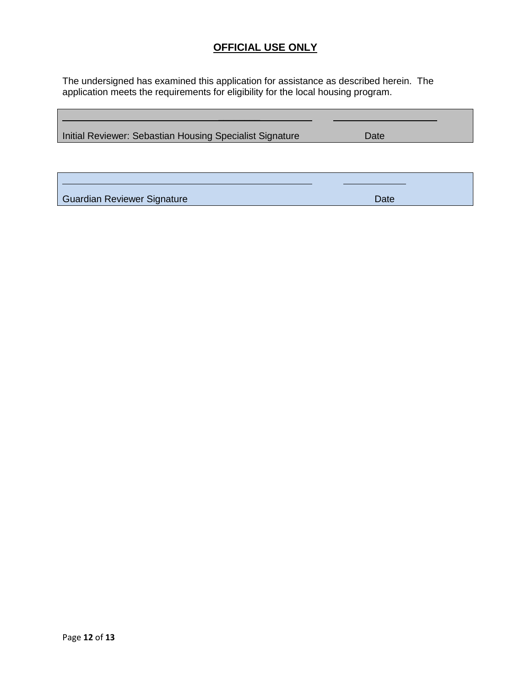## **OFFICIAL USE ONLY**

The undersigned has examined this application for assistance as described herein. The application meets the requirements for eligibility for the local housing program.

| Initial Reviewer: Sebastian Housing Specialist Signature | Date |  |
|----------------------------------------------------------|------|--|
|                                                          |      |  |
|                                                          |      |  |
|                                                          |      |  |
| Guardian Reviewer Signature                              | Date |  |